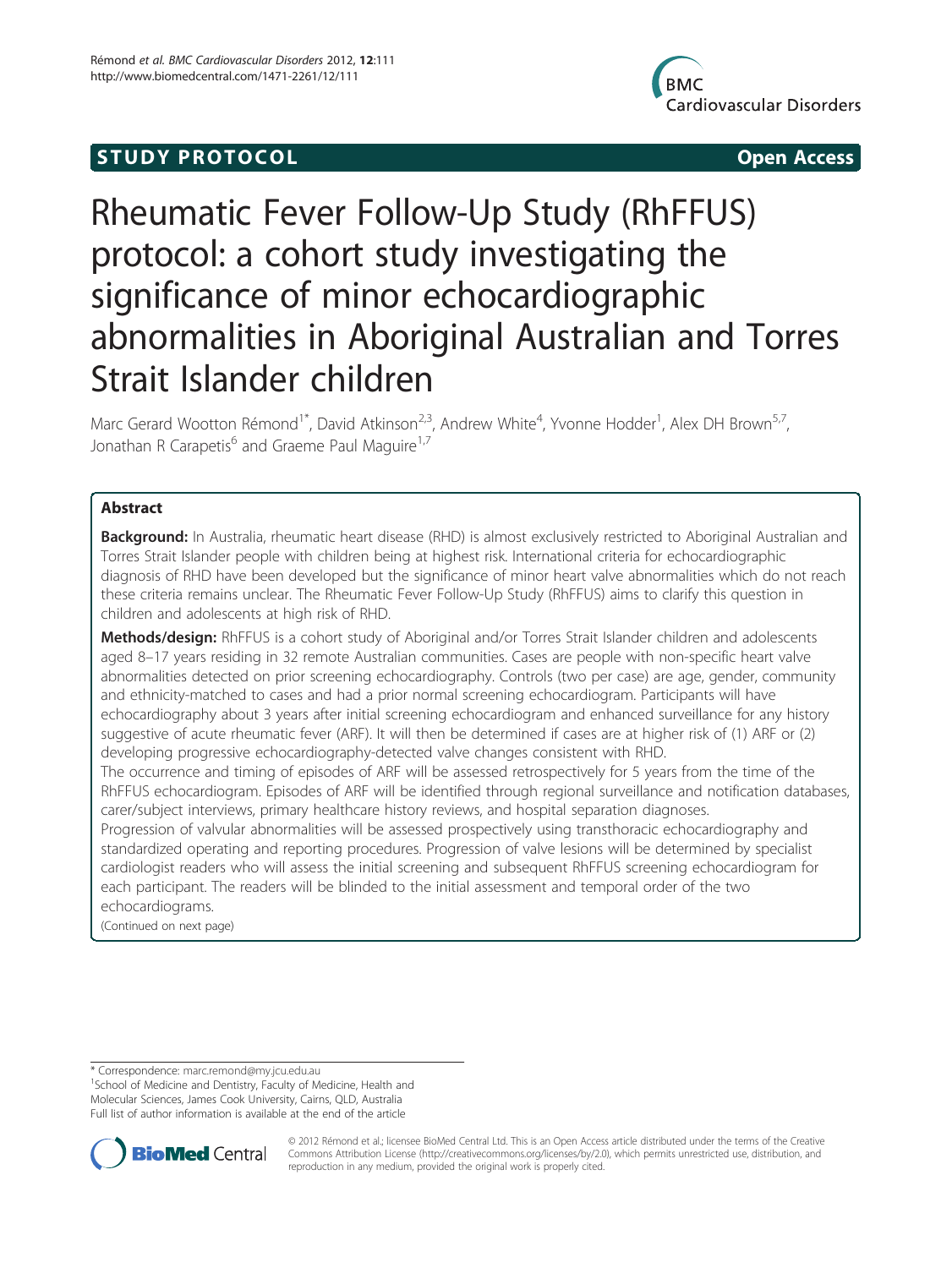## **STUDY PROTOCOL CONSUMING THE STUDY PROTOCOL**



# Rheumatic Fever Follow-Up Study (RhFFUS) protocol: a cohort study investigating the significance of minor echocardiographic abnormalities in Aboriginal Australian and Torres Strait Islander children

Marc Gerard Wootton Rémond<sup>1\*</sup>, David Atkinson<sup>2,3</sup>, Andrew White<sup>4</sup>, Yvonne Hodder<sup>1</sup>, Alex DH Brown<sup>5,7</sup>, Jonathan R Carapetis<sup>6</sup> and Graeme Paul Maguire<sup>1,7</sup>

## Abstract

**Background:** In Australia, rheumatic heart disease (RHD) is almost exclusively restricted to Aboriginal Australian and Torres Strait Islander people with children being at highest risk. International criteria for echocardiographic diagnosis of RHD have been developed but the significance of minor heart valve abnormalities which do not reach these criteria remains unclear. The Rheumatic Fever Follow-Up Study (RhFFUS) aims to clarify this question in children and adolescents at high risk of RHD.

Methods/design: RhFFUS is a cohort study of Aboriginal and/or Torres Strait Islander children and adolescents aged 8–17 years residing in 32 remote Australian communities. Cases are people with non-specific heart valve abnormalities detected on prior screening echocardiography. Controls (two per case) are age, gender, community and ethnicity-matched to cases and had a prior normal screening echocardiogram. Participants will have echocardiography about 3 years after initial screening echocardiogram and enhanced surveillance for any history suggestive of acute rheumatic fever (ARF). It will then be determined if cases are at higher risk of (1) ARF or (2) developing progressive echocardiography-detected valve changes consistent with RHD.

The occurrence and timing of episodes of ARF will be assessed retrospectively for 5 years from the time of the RhFFUS echocardiogram. Episodes of ARF will be identified through regional surveillance and notification databases, carer/subject interviews, primary healthcare history reviews, and hospital separation diagnoses.

Progression of valvular abnormalities will be assessed prospectively using transthoracic echocardiography and standardized operating and reporting procedures. Progression of valve lesions will be determined by specialist cardiologist readers who will assess the initial screening and subsequent RhFFUS screening echocardiogram for each participant. The readers will be blinded to the initial assessment and temporal order of the two echocardiograms.

(Continued on next page)

<sup>1</sup>School of Medicine and Dentistry, Faculty of Medicine, Health and Molecular Sciences, James Cook University, Cairns, QLD, Australia Full list of author information is available at the end of the article



© 2012 Rémond et al.; licensee BioMed Central Ltd. This is an Open Access article distributed under the terms of the Creative Commons Attribution License [\(http://creativecommons.org/licenses/by/2.0\)](http://creativecommons.org/licenses/by/2.0), which permits unrestricted use, distribution, and reproduction in any medium, provided the original work is properly cited.

<sup>\*</sup> Correspondence: [marc.remond@my.jcu.edu.au](mailto:marc.remond@my.jcu.edu.au) <sup>1</sup>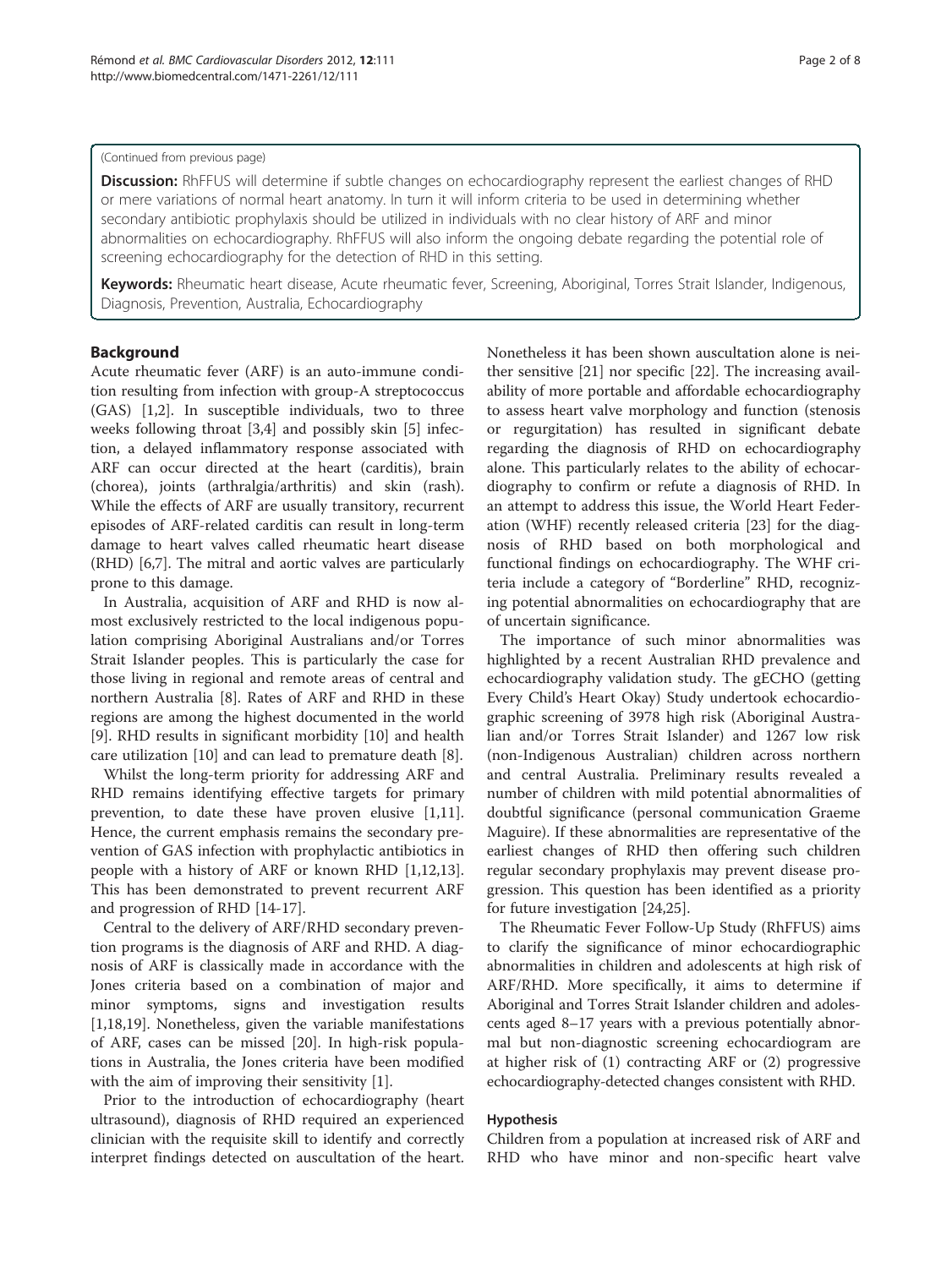#### (Continued from previous page)

Discussion: RhFFUS will determine if subtle changes on echocardiography represent the earliest changes of RHD or mere variations of normal heart anatomy. In turn it will inform criteria to be used in determining whether secondary antibiotic prophylaxis should be utilized in individuals with no clear history of ARF and minor abnormalities on echocardiography. RhFFUS will also inform the ongoing debate regarding the potential role of screening echocardiography for the detection of RHD in this setting.

Keywords: Rheumatic heart disease, Acute rheumatic fever, Screening, Aboriginal, Torres Strait Islander, Indigenous, Diagnosis, Prevention, Australia, Echocardiography

#### Background

Acute rheumatic fever (ARF) is an auto-immune condition resulting from infection with group-A streptococcus (GAS) [[1,2\]](#page-7-0). In susceptible individuals, two to three weeks following throat [\[3,4](#page-7-0)] and possibly skin [[5](#page-7-0)] infection, a delayed inflammatory response associated with ARF can occur directed at the heart (carditis), brain (chorea), joints (arthralgia/arthritis) and skin (rash). While the effects of ARF are usually transitory, recurrent episodes of ARF-related carditis can result in long-term damage to heart valves called rheumatic heart disease (RHD) [[6,7\]](#page-7-0). The mitral and aortic valves are particularly prone to this damage.

In Australia, acquisition of ARF and RHD is now almost exclusively restricted to the local indigenous population comprising Aboriginal Australians and/or Torres Strait Islander peoples. This is particularly the case for those living in regional and remote areas of central and northern Australia [[8\]](#page-7-0). Rates of ARF and RHD in these regions are among the highest documented in the world [[9\]](#page-7-0). RHD results in significant morbidity [[10](#page-7-0)] and health care utilization [[10\]](#page-7-0) and can lead to premature death [[8](#page-7-0)].

Whilst the long-term priority for addressing ARF and RHD remains identifying effective targets for primary prevention, to date these have proven elusive [\[1,11](#page-7-0)]. Hence, the current emphasis remains the secondary prevention of GAS infection with prophylactic antibiotics in people with a history of ARF or known RHD [\[1,12,13](#page-7-0)]. This has been demonstrated to prevent recurrent ARF and progression of RHD [[14-17](#page-7-0)].

Central to the delivery of ARF/RHD secondary prevention programs is the diagnosis of ARF and RHD. A diagnosis of ARF is classically made in accordance with the Jones criteria based on a combination of major and minor symptoms, signs and investigation results [[1,18,19\]](#page-7-0). Nonetheless, given the variable manifestations of ARF, cases can be missed [[20\]](#page-7-0). In high-risk populations in Australia, the Jones criteria have been modified with the aim of improving their sensitivity [[1\]](#page-7-0).

Prior to the introduction of echocardiography (heart ultrasound), diagnosis of RHD required an experienced clinician with the requisite skill to identify and correctly interpret findings detected on auscultation of the heart. Nonetheless it has been shown auscultation alone is neither sensitive [\[21\]](#page-7-0) nor specific [[22\]](#page-7-0). The increasing availability of more portable and affordable echocardiography to assess heart valve morphology and function (stenosis or regurgitation) has resulted in significant debate regarding the diagnosis of RHD on echocardiography alone. This particularly relates to the ability of echocardiography to confirm or refute a diagnosis of RHD. In an attempt to address this issue, the World Heart Federation (WHF) recently released criteria [[23\]](#page-7-0) for the diagnosis of RHD based on both morphological and functional findings on echocardiography. The WHF criteria include a category of "Borderline" RHD, recognizing potential abnormalities on echocardiography that are of uncertain significance.

The importance of such minor abnormalities was highlighted by a recent Australian RHD prevalence and echocardiography validation study. The gECHO (getting Every Child's Heart Okay) Study undertook echocardiographic screening of 3978 high risk (Aboriginal Australian and/or Torres Strait Islander) and 1267 low risk (non-Indigenous Australian) children across northern and central Australia. Preliminary results revealed a number of children with mild potential abnormalities of doubtful significance (personal communication Graeme Maguire). If these abnormalities are representative of the earliest changes of RHD then offering such children regular secondary prophylaxis may prevent disease progression. This question has been identified as a priority for future investigation [[24,25\]](#page-7-0).

The Rheumatic Fever Follow-Up Study (RhFFUS) aims to clarify the significance of minor echocardiographic abnormalities in children and adolescents at high risk of ARF/RHD. More specifically, it aims to determine if Aboriginal and Torres Strait Islander children and adolescents aged 8–17 years with a previous potentially abnormal but non-diagnostic screening echocardiogram are at higher risk of (1) contracting ARF or (2) progressive echocardiography-detected changes consistent with RHD.

## Hypothesis

Children from a population at increased risk of ARF and RHD who have minor and non-specific heart valve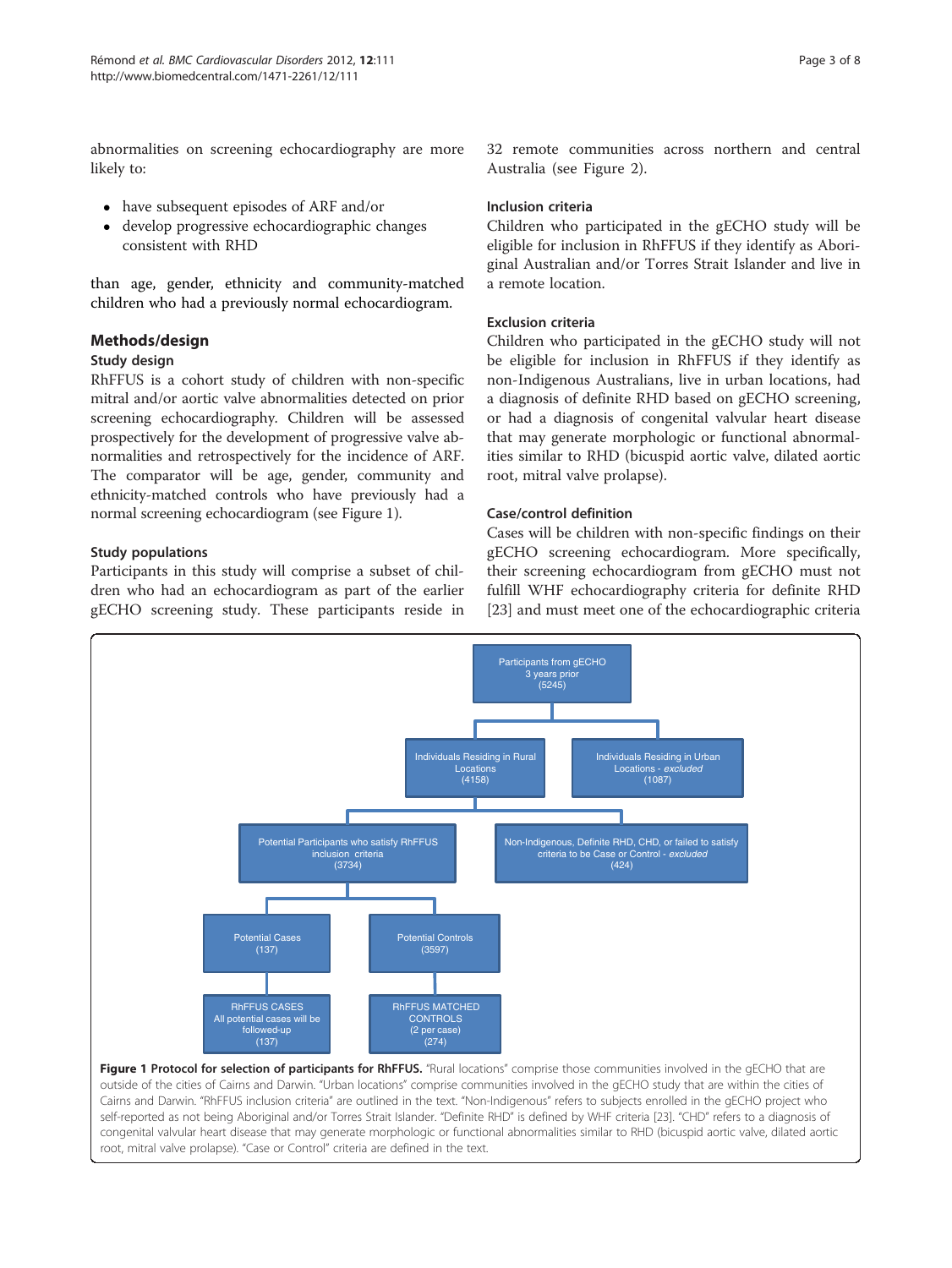abnormalities on screening echocardiography are more likely to:

- have subsequent episodes of ARF and/or
- develop progressive echocardiographic changes consistent with RHD

than age, gender, ethnicity and community-matched children who had a previously normal echocardiogram.

## Methods/design

## Study design

RhFFUS is a cohort study of children with non-specific mitral and/or aortic valve abnormalities detected on prior screening echocardiography. Children will be assessed prospectively for the development of progressive valve abnormalities and retrospectively for the incidence of ARF. The comparator will be age, gender, community and ethnicity-matched controls who have previously had a normal screening echocardiogram (see Figure 1).

## Study populations

Participants in this study will comprise a subset of children who had an echocardiogram as part of the earlier gECHO screening study. These participants reside in 32 remote communities across northern and central Australia (see Figure [2\)](#page-3-0).

## Inclusion criteria

Children who participated in the gECHO study will be eligible for inclusion in RhFFUS if they identify as Aboriginal Australian and/or Torres Strait Islander and live in a remote location.

## Exclusion criteria

Children who participated in the gECHO study will not be eligible for inclusion in RhFFUS if they identify as non-Indigenous Australians, live in urban locations, had a diagnosis of definite RHD based on gECHO screening, or had a diagnosis of congenital valvular heart disease that may generate morphologic or functional abnormalities similar to RHD (bicuspid aortic valve, dilated aortic root, mitral valve prolapse).

#### Case/control definition

Cases will be children with non-specific findings on their gECHO screening echocardiogram. More specifically, their screening echocardiogram from gECHO must not fulfill WHF echocardiography criteria for definite RHD [[23\]](#page-7-0) and must meet one of the echocardiographic criteria

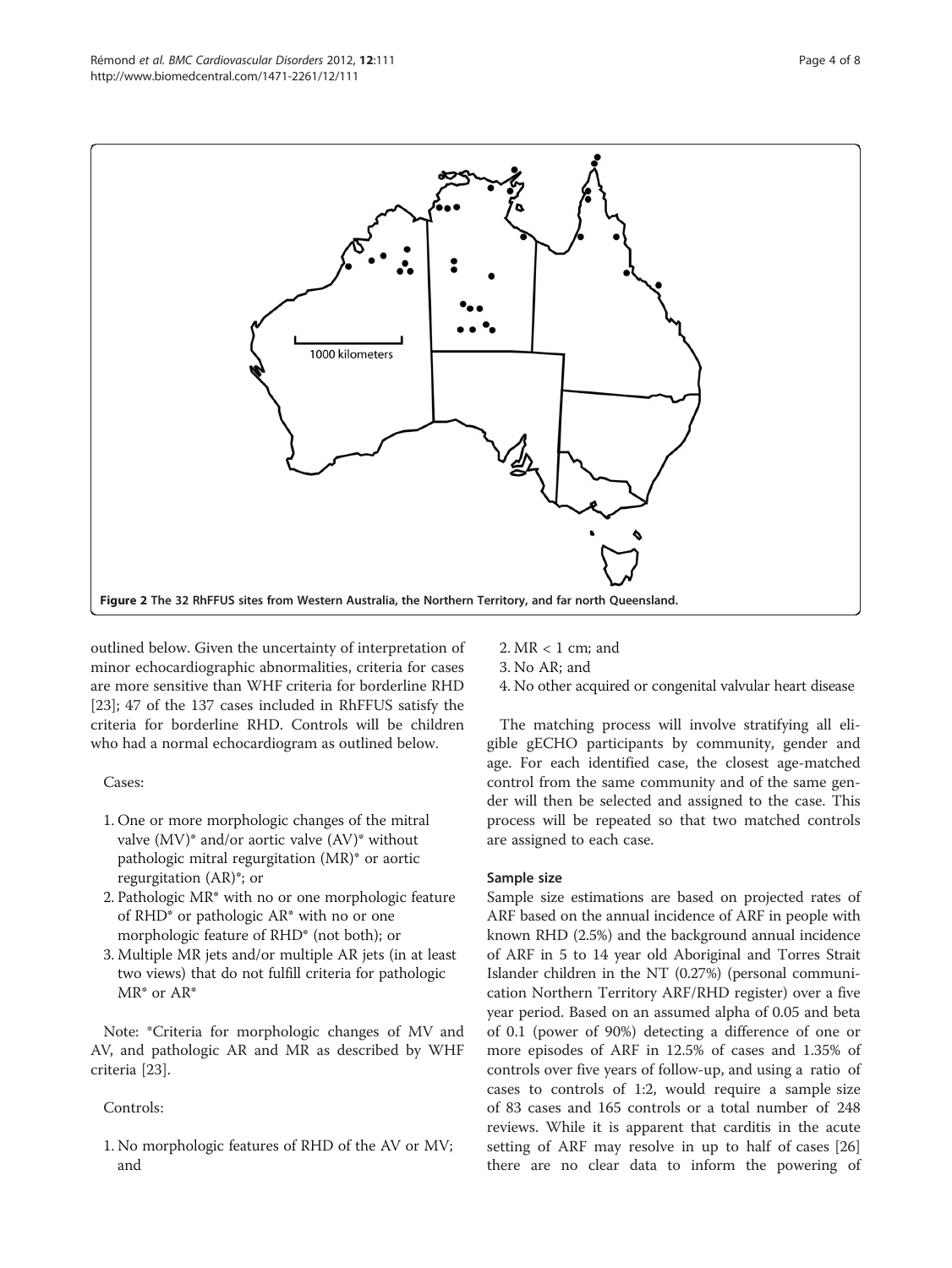<span id="page-3-0"></span>

outlined below. Given the uncertainty of interpretation of minor echocardiographic abnormalities, criteria for cases are more sensitive than WHF criteria for borderline RHD [[23\]](#page-7-0); 47 of the 137 cases included in RhFFUS satisfy the criteria for borderline RHD. Controls will be children who had a normal echocardiogram as outlined below.

Cases:

- 1. One or more morphologic changes of the mitral valve (MV)\* and/or aortic valve (AV)\* without pathologic mitral regurgitation (MR)\* or aortic regurgitation (AR)\*; or
- 2. Pathologic MR\* with no or one morphologic feature of RHD\* or pathologic AR\* with no or one morphologic feature of RHD\* (not both); or
- 3. Multiple MR jets and/or multiple AR jets (in at least two views) that do not fulfill criteria for pathologic MR\* or AR\*

Note: \*Criteria for morphologic changes of MV and AV, and pathologic AR and MR as described by WHF criteria [[23](#page-7-0)].

Controls:

1. No morphologic features of RHD of the AV or MV; and

- 2. MR < 1 cm; and
- 3. No AR; and
- 4. No other acquired or congenital valvular heart disease

The matching process will involve stratifying all eligible gECHO participants by community, gender and age. For each identified case, the closest age-matched control from the same community and of the same gender will then be selected and assigned to the case. This process will be repeated so that two matched controls are assigned to each case.

## Sample size

Sample size estimations are based on projected rates of ARF based on the annual incidence of ARF in people with known RHD (2.5%) and the background annual incidence of ARF in 5 to 14 year old Aboriginal and Torres Strait Islander children in the NT (0.27%) (personal communication Northern Territory ARF/RHD register) over a five year period. Based on an assumed alpha of 0.05 and beta of 0.1 (power of 90%) detecting a difference of one or more episodes of ARF in 12.5% of cases and 1.35% of controls over five years of follow-up, and using a ratio of cases to controls of 1:2, would require a sample size of 83 cases and 165 controls or a total number of 248 reviews. While it is apparent that carditis in the acute setting of ARF may resolve in up to half of cases [[26](#page-7-0)] there are no clear data to inform the powering of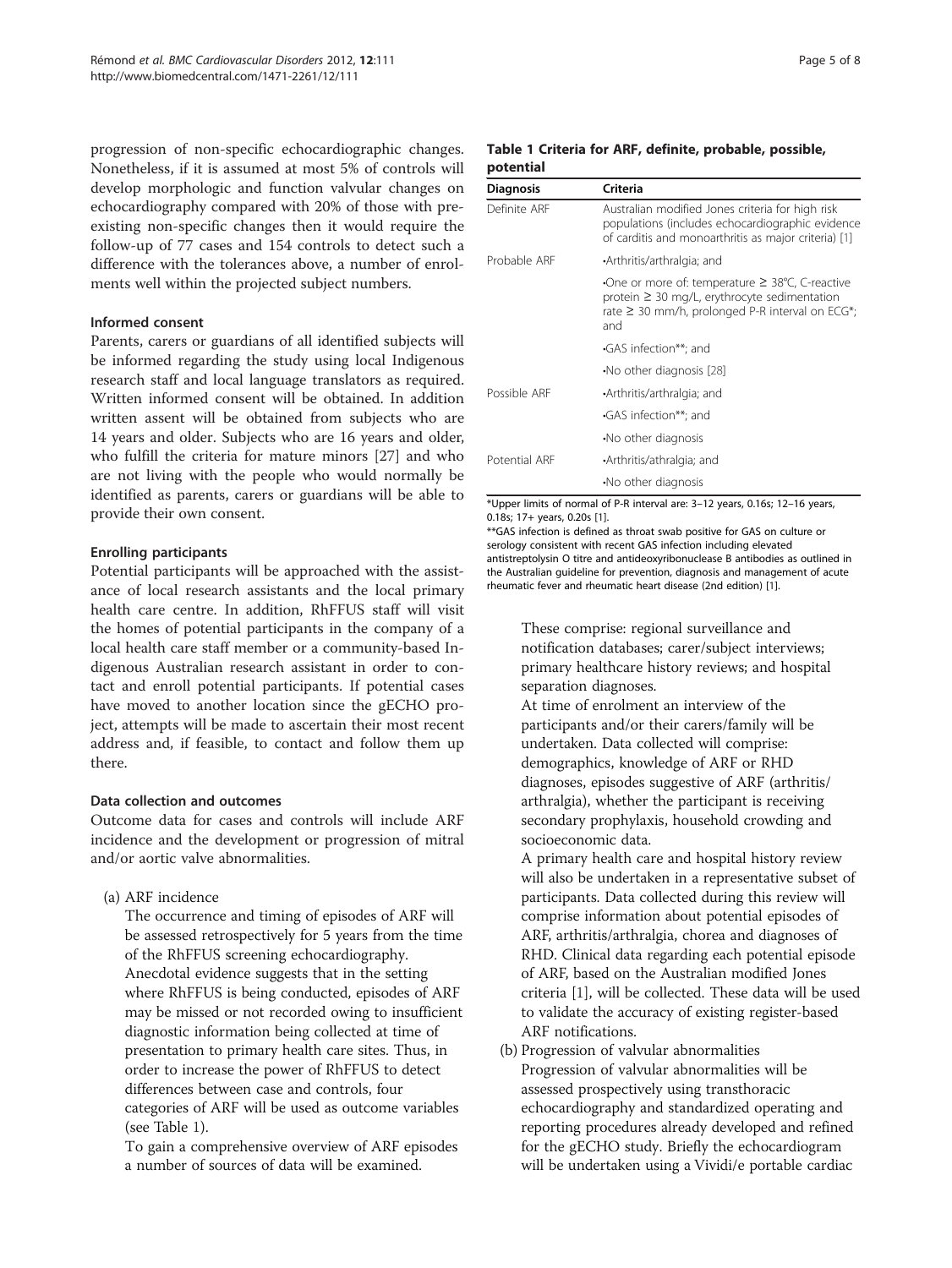<span id="page-4-0"></span>progression of non-specific echocardiographic changes. Nonetheless, if it is assumed at most 5% of controls will develop morphologic and function valvular changes on echocardiography compared with 20% of those with preexisting non-specific changes then it would require the follow-up of 77 cases and 154 controls to detect such a difference with the tolerances above, a number of enrolments well within the projected subject numbers.

#### Informed consent

Parents, carers or guardians of all identified subjects will be informed regarding the study using local Indigenous research staff and local language translators as required. Written informed consent will be obtained. In addition written assent will be obtained from subjects who are 14 years and older. Subjects who are 16 years and older, who fulfill the criteria for mature minors [\[27](#page-7-0)] and who are not living with the people who would normally be identified as parents, carers or guardians will be able to provide their own consent.

#### Enrolling participants

Potential participants will be approached with the assistance of local research assistants and the local primary health care centre. In addition, RhFFUS staff will visit the homes of potential participants in the company of a local health care staff member or a community-based Indigenous Australian research assistant in order to contact and enroll potential participants. If potential cases have moved to another location since the gECHO project, attempts will be made to ascertain their most recent address and, if feasible, to contact and follow them up there.

## Data collection and outcomes

Outcome data for cases and controls will include ARF incidence and the development or progression of mitral and/or aortic valve abnormalities.

(a) ARF incidence

The occurrence and timing of episodes of ARF will be assessed retrospectively for 5 years from the time of the RhFFUS screening echocardiography. Anecdotal evidence suggests that in the setting where RhFFUS is being conducted, episodes of ARF may be missed or not recorded owing to insufficient diagnostic information being collected at time of presentation to primary health care sites. Thus, in order to increase the power of RhFFUS to detect differences between case and controls, four categories of ARF will be used as outcome variables (see Table 1).

To gain a comprehensive overview of ARF episodes a number of sources of data will be examined.

#### Table 1 Criteria for ARF, definite, probable, possible, potential

| <b>Diagnosis</b> | Criteria                                                                                                                                                                 |
|------------------|--------------------------------------------------------------------------------------------------------------------------------------------------------------------------|
| Definite ARF     | Australian modified Jones criteria for high risk<br>populations (includes echocardiographic evidence<br>of carditis and monoarthritis as major criteria) [1]             |
| Probable ARF     | •Arthritis/arthralgia; and                                                                                                                                               |
|                  | •One or more of: temperature $\geq$ 38°C, C-reactive<br>protein $\geq$ 30 mg/L, erythrocyte sedimentation<br>rate $\geq$ 30 mm/h, prolonged P-R interval on ECG*;<br>and |
|                  | GAS infection**; and                                                                                                                                                     |
|                  | No other diagnosis [28]                                                                                                                                                  |
| Possible ARF     | •Arthritis/arthralgia; and                                                                                                                                               |
|                  | GAS infection**: and                                                                                                                                                     |
|                  | •No other diagnosis                                                                                                                                                      |
| Potential ARF    | •Arthritis/athralgia; and                                                                                                                                                |
|                  | •No other diagnosis                                                                                                                                                      |

\*Upper limits of normal of P-R interval are: 3–12 years, 0.16s; 12–16 years, 0.18s; 17+ years, 0.20s [\[1\]](#page-7-0).

\*\*GAS infection is defined as throat swab positive for GAS on culture or serology consistent with recent GAS infection including elevated antistreptolysin O titre and antideoxyribonuclease B antibodies as outlined in the Australian guideline for prevention, diagnosis and management of acute rheumatic fever and rheumatic heart disease (2nd edition) [\[1\]](#page-7-0).

These comprise: regional surveillance and notification databases; carer/subject interviews; primary healthcare history reviews; and hospital separation diagnoses.

At time of enrolment an interview of the participants and/or their carers/family will be undertaken. Data collected will comprise: demographics, knowledge of ARF or RHD diagnoses, episodes suggestive of ARF (arthritis/ arthralgia), whether the participant is receiving secondary prophylaxis, household crowding and socioeconomic data.

A primary health care and hospital history review will also be undertaken in a representative subset of participants. Data collected during this review will comprise information about potential episodes of ARF, arthritis/arthralgia, chorea and diagnoses of RHD. Clinical data regarding each potential episode of ARF, based on the Australian modified Jones criteria [[1](#page-7-0)], will be collected. These data will be used to validate the accuracy of existing register-based ARF notifications.

(b) Progression of valvular abnormalities Progression of valvular abnormalities will be assessed prospectively using transthoracic echocardiography and standardized operating and reporting procedures already developed and refined for the gECHO study. Briefly the echocardiogram will be undertaken using a Vividi/e portable cardiac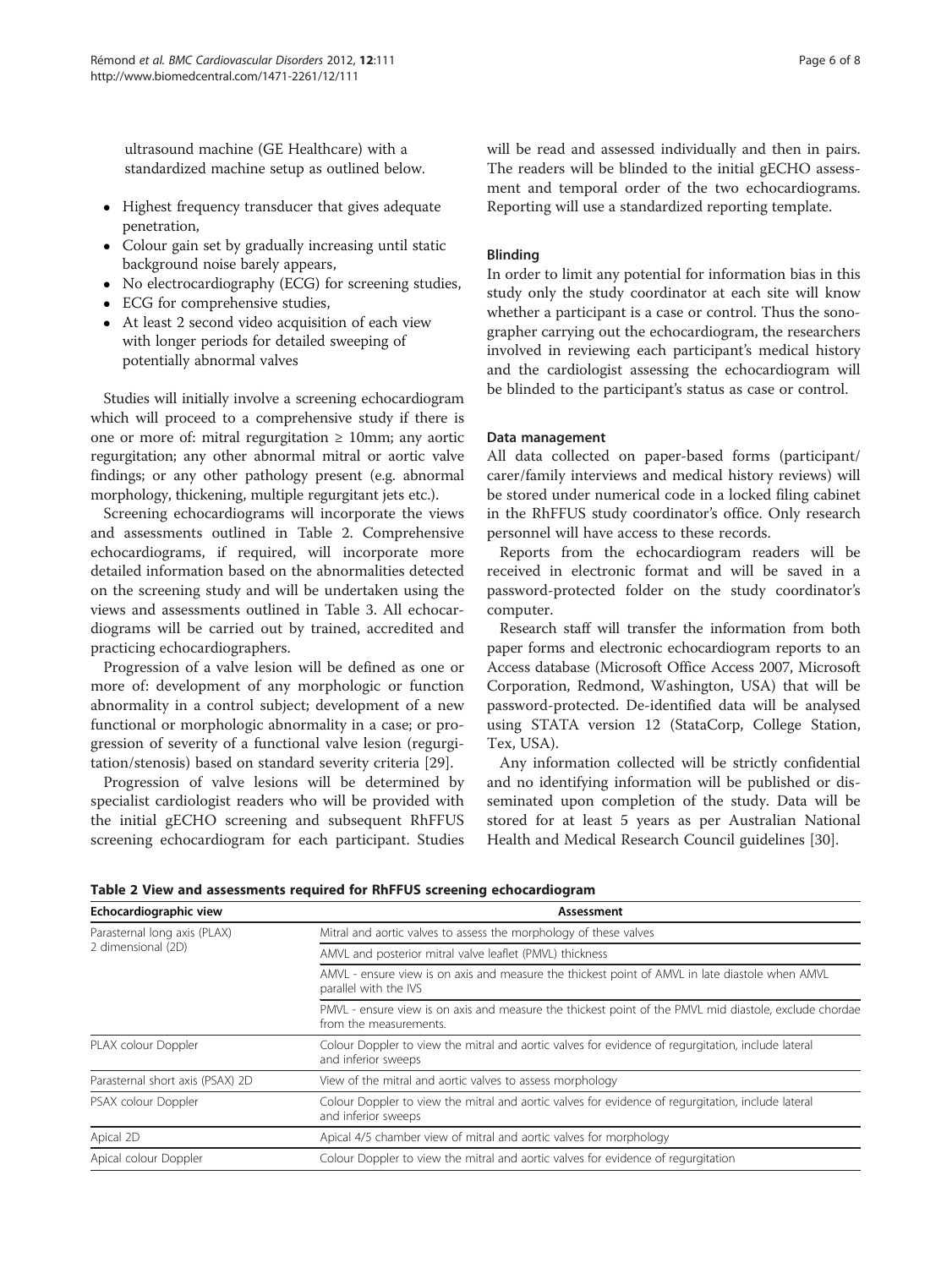ultrasound machine (GE Healthcare) with a standardized machine setup as outlined below.

- Highest frequency transducer that gives adequate penetration,
- Colour gain set by gradually increasing until static background noise barely appears,
- No electrocardiography (ECG) for screening studies,
- ECG for comprehensive studies,
- At least 2 second video acquisition of each view with longer periods for detailed sweeping of potentially abnormal valves

Studies will initially involve a screening echocardiogram which will proceed to a comprehensive study if there is one or more of: mitral regurgitation  $\geq 10$ mm; any aortic regurgitation; any other abnormal mitral or aortic valve findings; or any other pathology present (e.g. abnormal morphology, thickening, multiple regurgitant jets etc.).

Screening echocardiograms will incorporate the views and assessments outlined in Table 2. Comprehensive echocardiograms, if required, will incorporate more detailed information based on the abnormalities detected on the screening study and will be undertaken using the views and assessments outlined in Table [3.](#page-6-0) All echocardiograms will be carried out by trained, accredited and practicing echocardiographers.

Progression of a valve lesion will be defined as one or more of: development of any morphologic or function abnormality in a control subject; development of a new functional or morphologic abnormality in a case; or progression of severity of a functional valve lesion (regurgitation/stenosis) based on standard severity criteria [[29\]](#page-7-0).

Progression of valve lesions will be determined by specialist cardiologist readers who will be provided with the initial gECHO screening and subsequent RhFFUS screening echocardiogram for each participant. Studies will be read and assessed individually and then in pairs. The readers will be blinded to the initial gECHO assessment and temporal order of the two echocardiograms. Reporting will use a standardized reporting template.

## Blinding

In order to limit any potential for information bias in this study only the study coordinator at each site will know whether a participant is a case or control. Thus the sonographer carrying out the echocardiogram, the researchers involved in reviewing each participant's medical history and the cardiologist assessing the echocardiogram will be blinded to the participant's status as case or control.

#### Data management

All data collected on paper-based forms (participant/ carer/family interviews and medical history reviews) will be stored under numerical code in a locked filing cabinet in the RhFFUS study coordinator's office. Only research personnel will have access to these records.

Reports from the echocardiogram readers will be received in electronic format and will be saved in a password-protected folder on the study coordinator's computer.

Research staff will transfer the information from both paper forms and electronic echocardiogram reports to an Access database (Microsoft Office Access 2007, Microsoft Corporation, Redmond, Washington, USA) that will be password-protected. De-identified data will be analysed using STATA version 12 (StataCorp, College Station, Tex, USA).

Any information collected will be strictly confidential and no identifying information will be published or disseminated upon completion of the study. Data will be stored for at least 5 years as per Australian National Health and Medical Research Council guidelines [[30\]](#page-7-0).

Table 2 View and assessments required for RhFFUS screening echocardiogram

| Echocardiographic view                             | Assessment                                                                                                                       |  |
|----------------------------------------------------|----------------------------------------------------------------------------------------------------------------------------------|--|
| Parasternal long axis (PLAX)<br>2 dimensional (2D) | Mitral and aortic valves to assess the morphology of these valves                                                                |  |
|                                                    | AMVL and posterior mitral valve leaflet (PMVL) thickness                                                                         |  |
|                                                    | AMVL - ensure view is on axis and measure the thickest point of AMVL in late diastole when AMVL<br>parallel with the IVS         |  |
|                                                    | PMVL - ensure view is on axis and measure the thickest point of the PMVL mid diastole, exclude chordae<br>from the measurements. |  |
| PLAX colour Doppler                                | Colour Doppler to view the mitral and aortic valves for evidence of requrgitation, include lateral<br>and inferior sweeps        |  |
| Parasternal short axis (PSAX) 2D                   | View of the mitral and aortic valves to assess morphology                                                                        |  |
| PSAX colour Doppler                                | Colour Doppler to view the mitral and aortic valves for evidence of requrgitation, include lateral<br>and inferior sweeps        |  |
| Apical 2D                                          | Apical 4/5 chamber view of mitral and aortic valves for morphology                                                               |  |
| Apical colour Doppler                              | Colour Doppler to view the mitral and aortic valves for evidence of regurgitation                                                |  |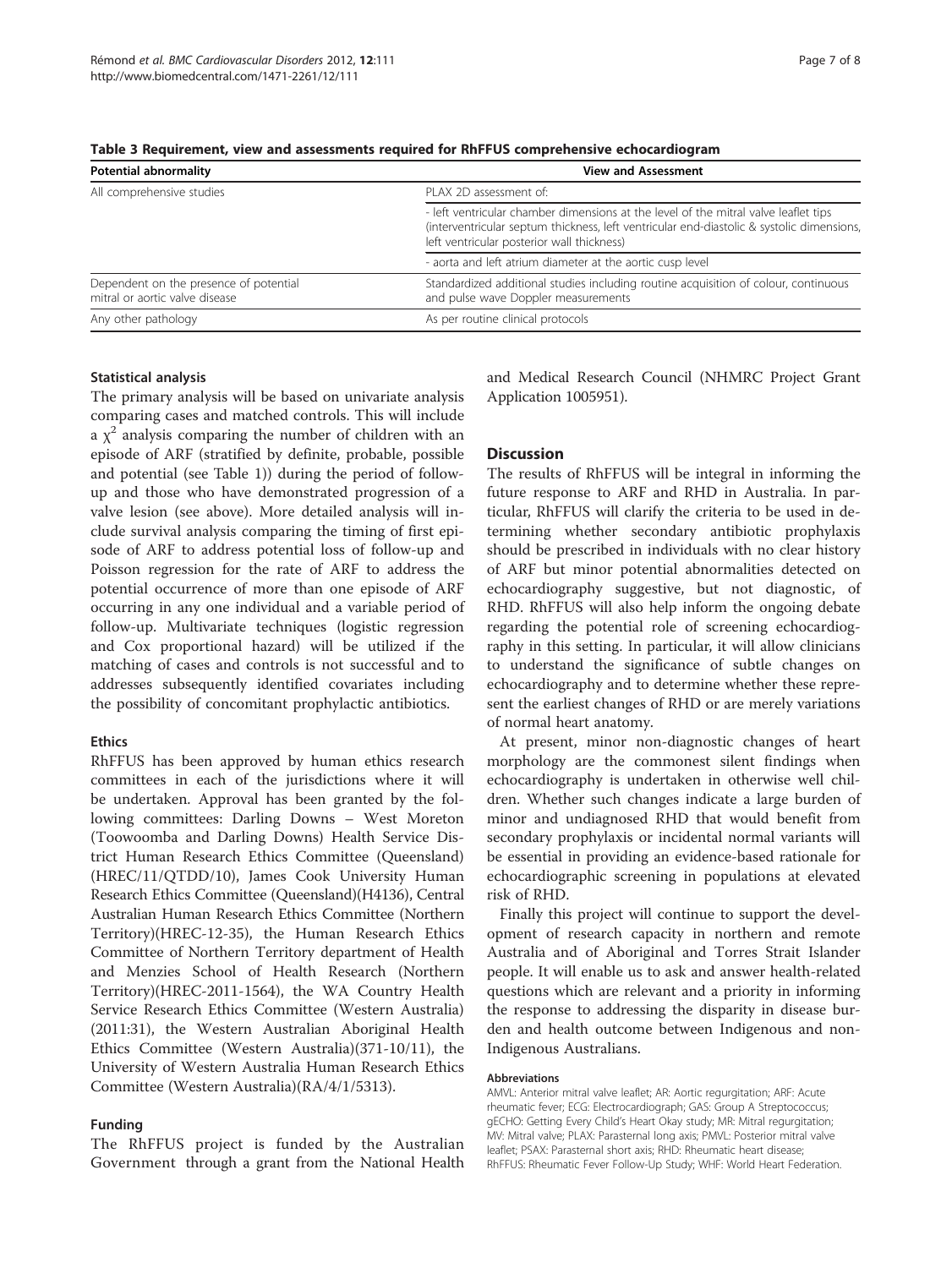| <b>Potential abnormality</b>                                             | <b>View and Assessment</b>                                                                                                                                                                                                     |
|--------------------------------------------------------------------------|--------------------------------------------------------------------------------------------------------------------------------------------------------------------------------------------------------------------------------|
| All comprehensive studies                                                | PLAX 2D assessment of:                                                                                                                                                                                                         |
|                                                                          | - left ventricular chamber dimensions at the level of the mitral valve leaflet tips<br>(interventricular septum thickness, left ventricular end-diastolic & systolic dimensions,<br>left ventricular posterior wall thickness) |
|                                                                          | - aorta and left atrium diameter at the aortic cusp level                                                                                                                                                                      |
| Dependent on the presence of potential<br>mitral or aortic valve disease | Standardized additional studies including routine acquisition of colour, continuous<br>and pulse wave Doppler measurements                                                                                                     |
| Any other pathology                                                      | As per routine clinical protocols                                                                                                                                                                                              |

<span id="page-6-0"></span>Table 3 Requirement, view and assessments required for RhFFUS comprehensive echocardiogram

#### Statistical analysis

The primary analysis will be based on univariate analysis comparing cases and matched controls. This will include a  $\chi^2$  analysis comparing the number of children with an episode of ARF (stratified by definite, probable, possible and potential (see Table [1](#page-4-0))) during the period of followup and those who have demonstrated progression of a valve lesion (see above). More detailed analysis will include survival analysis comparing the timing of first episode of ARF to address potential loss of follow-up and Poisson regression for the rate of ARF to address the potential occurrence of more than one episode of ARF occurring in any one individual and a variable period of follow-up. Multivariate techniques (logistic regression and Cox proportional hazard) will be utilized if the matching of cases and controls is not successful and to addresses subsequently identified covariates including the possibility of concomitant prophylactic antibiotics.

#### Ethics

RhFFUS has been approved by human ethics research committees in each of the jurisdictions where it will be undertaken. Approval has been granted by the following committees: Darling Downs – West Moreton (Toowoomba and Darling Downs) Health Service District Human Research Ethics Committee (Queensland) (HREC/11/QTDD/10), James Cook University Human Research Ethics Committee (Queensland)(H4136), Central Australian Human Research Ethics Committee (Northern Territory)(HREC-12-35), the Human Research Ethics Committee of Northern Territory department of Health and Menzies School of Health Research (Northern Territory)(HREC-2011-1564), the WA Country Health Service Research Ethics Committee (Western Australia) (2011:31), the Western Australian Aboriginal Health Ethics Committee (Western Australia)(371-10/11), the University of Western Australia Human Research Ethics Committee (Western Australia)(RA/4/1/5313).

#### Funding

The RhFFUS project is funded by the Australian Government through a grant from the National Health and Medical Research Council (NHMRC Project Grant Application 1005951).

#### **Discussion**

The results of RhFFUS will be integral in informing the future response to ARF and RHD in Australia. In particular, RhFFUS will clarify the criteria to be used in determining whether secondary antibiotic prophylaxis should be prescribed in individuals with no clear history of ARF but minor potential abnormalities detected on echocardiography suggestive, but not diagnostic, of RHD. RhFFUS will also help inform the ongoing debate regarding the potential role of screening echocardiography in this setting. In particular, it will allow clinicians to understand the significance of subtle changes on echocardiography and to determine whether these represent the earliest changes of RHD or are merely variations of normal heart anatomy.

At present, minor non-diagnostic changes of heart morphology are the commonest silent findings when echocardiography is undertaken in otherwise well children. Whether such changes indicate a large burden of minor and undiagnosed RHD that would benefit from secondary prophylaxis or incidental normal variants will be essential in providing an evidence-based rationale for echocardiographic screening in populations at elevated risk of RHD.

Finally this project will continue to support the development of research capacity in northern and remote Australia and of Aboriginal and Torres Strait Islander people. It will enable us to ask and answer health-related questions which are relevant and a priority in informing the response to addressing the disparity in disease burden and health outcome between Indigenous and non-Indigenous Australians.

#### Abbreviations

AMVL: Anterior mitral valve leaflet; AR: Aortic regurgitation; ARF: Acute rheumatic fever; ECG: Electrocardiograph; GAS: Group A Streptococcus; gECHO: Getting Every Child's Heart Okay study; MR: Mitral regurgitation; MV: Mitral valve; PLAX: Parasternal long axis; PMVL: Posterior mitral valve leaflet; PSAX: Parasternal short axis; RHD: Rheumatic heart disease; RhFFUS: Rheumatic Fever Follow-Up Study; WHF: World Heart Federation.